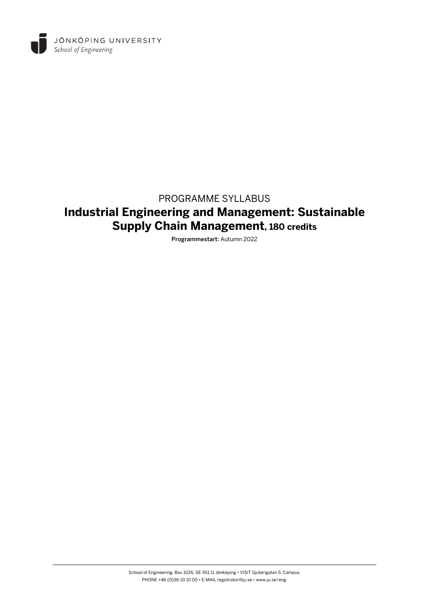

# PROGRAMME SYLLABUS **Industrial Engineering and Management: Sustainable Supply Chain Management, 180 credits**

Programmestart: Autumn 2022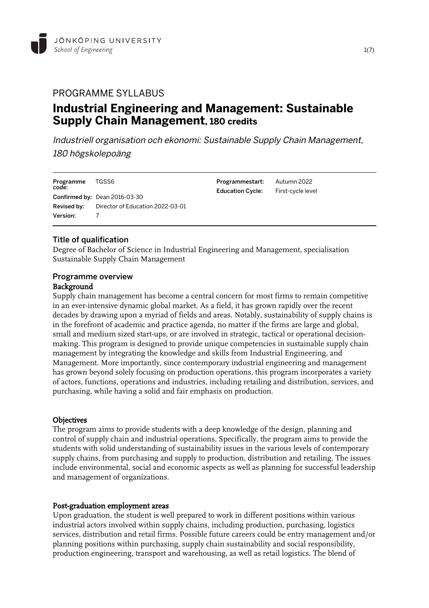

# PROGRAMME SYLLABUS **Industrial Engineering and Management: Sustainable Supply Chain Management, 180 credits**

Industriell organisation och ekonomi: Sustainable Supply Chain Management, 180 högskolepoäng

| Programme<br>code: | TGSS6                                               | Programmestart:<br><b>Education Cycle:</b> | Autumn 2022<br>First-cycle level |
|--------------------|-----------------------------------------------------|--------------------------------------------|----------------------------------|
|                    | Confirmed by: Dean 2016-03-30                       |                                            |                                  |
|                    | <b>Revised by:</b> Director of Education 2022-03-01 |                                            |                                  |
| <b>Version:</b>    |                                                     |                                            |                                  |

#### Title of qualification

Degree of Bachelor of Science in Industrial Engineering and Management, specialisation Sustainable Supply Chain Management

#### Programme overview Background

Supply chain management has become a central concern for most firms to remain competitive in an ever-intensive dynamic global market. As a field, it has grown rapidly over the recent decades by drawing upon a myriad of fields and areas. Notably, sustainability of supply chains is in the forefront of academic and practice agenda, no matter if the firms are large and global, small and medium sized start-ups, or are involved in strategic, tactical or operational decisionmaking. This program is designed to provide unique competencies in sustainable supply chain management by integrating the knowledge and skills from Industrial Engineering, and Management. More importantly, since contemporary industrial engineering and management has grown beyond solely focusing on production operations, this program incorporates a variety of actors, functions, operations and industries, including retailing and distribution, services, and purchasing, while having a solid and fair emphasis on production.

# **Objectives**

The program aims to provide students with a deep knowledge of the design, planning and control of supply chain and industrial operations. Specifically, the program aims to provide the students with solid understanding of sustainability issues in the various levels of contemporary supply chains, from purchasing and supply to production, distribution and retailing. The issues include environmental, social and economic aspects as well as planning for successful leadership and management of organizations.

#### Post-graduation employment areas

Upon graduation, the student is well prepared to work in different positions within various industrial actors involved within supply chains, including production, purchasing, logistics services, distribution and retail firms. Possible future careers could be entry management and/or planning positions within purchasing, supply chain sustainability and social responsibility, production engineering, transport and warehousing, as well as retail logistics. The blend of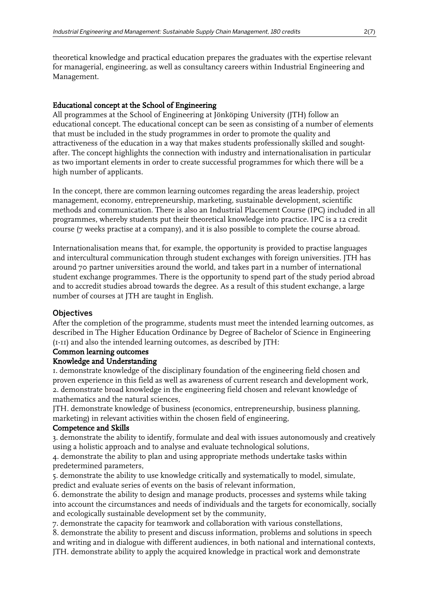theoretical knowledge and practical education prepares the graduates with the expertise relevant for managerial, engineering, as well as consultancy careers within Industrial Engineering and Management.

#### Educational concept at the School of Engineering

All programmes at the School of Engineering at Jönköping University (JTH) follow an educational concept. The educational concept can be seen as consisting of a number of elements that must be included in the study programmes in order to promote the quality and attractiveness of the education in a way that makes students professionally skilled and soughtafter. The concept highlights the connection with industry and internationalisation in particular as two important elements in order to create successful programmes for which there will be a high number of applicants.

In the concept, there are common learning outcomes regarding the areas leadership, project management, economy, entrepreneurship, marketing, sustainable development, scientific methods and communication. There is also an Industrial Placement Course (IPC) included in all programmes, whereby students put their theoretical knowledge into practice. IPC is a 12 credit course (7 weeks practise at a company), and it is also possible to complete the course abroad.

Internationalisation means that, for example, the opportunity is provided to practise languages and intercultural communication through student exchanges with foreign universities. JTH has around 70 partner universities around the world, and takes part in a number of international student exchange programmes. There is the opportunity to spend part of the study period abroad and to accredit studies abroad towards the degree. As a result of this student exchange, a large number of courses at JTH are taught in English.

#### **Objectives**

After the completion of the programme, students must meet the intended learning outcomes, as described in The Higher Education Ordinance by Degree of Bachelor of Science in Engineering (1-11) and also the intended learning outcomes, as described by JTH:

#### Common learning outcomes

#### Knowledge and Understanding

1. demonstrate knowledge of the disciplinary foundation of the engineering field chosen and proven experience in this field as well as awareness of current research and development work, 2. demonstrate broad knowledge in the engineering field chosen and relevant knowledge of mathematics and the natural sciences,

JTH. demonstrate knowledge of business (economics, entrepreneurship, business planning, marketing) in relevant activities within the chosen field of engineering,

#### Competence and Skills

3. demonstrate the ability to identify, formulate and deal with issues autonomously and creatively using a holistic approach and to analyse and evaluate technological solutions,

4. demonstrate the ability to plan and using appropriate methods undertake tasks within predetermined parameters,

5. demonstrate the ability to use knowledge critically and systematically to model, simulate, predict and evaluate series of events on the basis of relevant information,

6. demonstrate the ability to design and manage products, processes and systems while taking into account the circumstances and needs of individuals and the targets for economically, socially and ecologically sustainable development set by the community,

7. demonstrate the capacity for teamwork and collaboration with various constellations,

8. demonstrate the ability to present and discuss information, problems and solutions in speech and writing and in dialogue with different audiences, in both national and international contexts, JTH. demonstrate ability to apply the acquired knowledge in practical work and demonstrate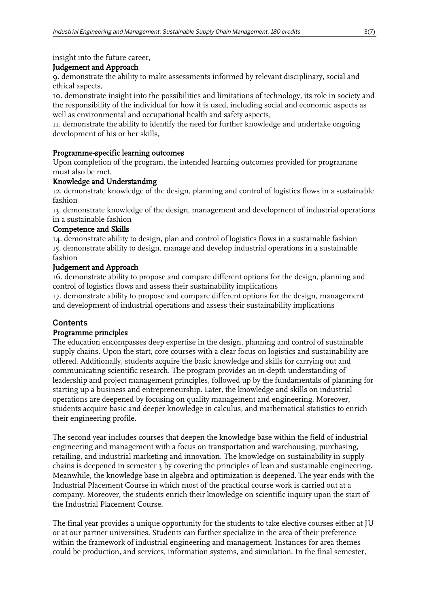insight into the future career,

# Judgement and Approach

9. demonstrate the ability to make assessments informed by relevant disciplinary, social and ethical aspects,

10. demonstrate insight into the possibilities and limitations of technology, its role in society and the responsibility of the individual for how it is used, including social and economic aspects as well as environmental and occupational health and safety aspects,

11. demonstrate the ability to identify the need for further knowledge and undertake ongoing development of his or her skills,

# Programme-specific learning outcomes

Upon completion of the program, the intended learning outcomes provided for programme must also be met.

# Knowledge and Understanding

12. demonstrate knowledge of the design, planning and control of logistics flows in a sustainable fashion

13. demonstrate knowledge of the design, management and development of industrial operations in a sustainable fashion

# Competence and Skills

14. demonstrate ability to design, plan and control of logistics flows in a sustainable fashion 15. demonstrate ability to design, manage and develop industrial operations in a sustainable fashion

# Judgement and Approach

16. demonstrate ability to propose and compare different options for the design, planning and control of logistics flows and assess their sustainability implications

17. demonstrate ability to propose and compare different options for the design, management and development of industrial operations and assess their sustainability implications

# **Contents**

# Programme principles

The education encompasses deep expertise in the design, planning and control of sustainable supply chains. Upon the start, core courses with a clear focus on logistics and sustainability are offered. Additionally, students acquire the basic knowledge and skills for carrying out and communicating scientific research. The program provides an in-depth understanding of leadership and project management principles, followed up by the fundamentals of planning for starting up a business and entrepreneurship. Later, the knowledge and skills on industrial operations are deepened by focusing on quality management and engineering. Moreover, students acquire basic and deeper knowledge in calculus, and mathematical statistics to enrich their engineering profile.

The second year includes courses that deepen the knowledge base within the field of industrial engineering and management with a focus on transportation and warehousing, purchasing, retailing, and industrial marketing and innovation. The knowledge on sustainability in supply chains is deepened in semester 3 by covering the principles of lean and sustainable engineering. Meanwhile, the knowledge base in algebra and optimization is deepened. The year ends with the Industrial Placement Course in which most of the practical course work is carried out at a company. Moreover, the students enrich their knowledge on scientific inquiry upon the start of the Industrial Placement Course.

The final year provides a unique opportunity for the students to take elective courses either at JU or at our partner universities. Students can further specialize in the area of their preference within the framework of industrial engineering and management. Instances for area themes could be production, and services, information systems, and simulation. In the final semester,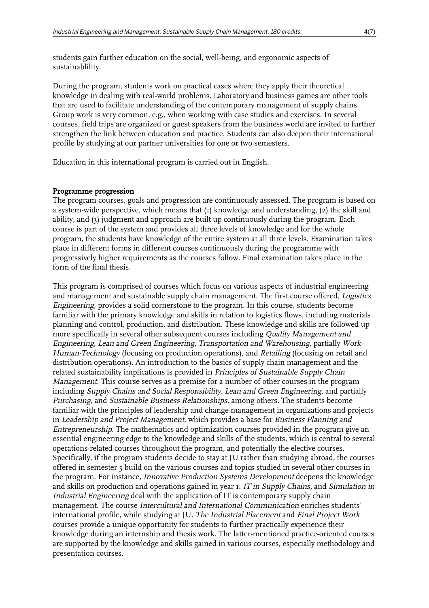students gain further education on the social, well-being, and ergonomic aspects of sustainablility.

During the program, students work on practical cases where they apply their theoretical knowledge in dealing with real-world problems. Laboratory and business games are other tools that are used to facilitate understanding of the contemporary management of supply chains. Group work is very common, e.g., when working with case studies and exercises. In several courses, field trips are organized or guest speakers from the business world are invited to further strengthen the link between education and practice. Students can also deepen their international profile by studying at our partner universities for one or two semesters.

Education in this international program is carried out in English.

#### Programme progression

The program courses, goals and progression are continuously assessed. The program is based on a system-wide perspective, which means that (1) knowledge and understanding, (2) the skill and ability, and (3) judgment and approach are built up continuously during the program. Each course is part of the system and provides all three levels of knowledge and for the whole program, the students have knowledge of the entire system at all three levels. Examination takes place in different forms in different courses continuously during the programme with progressively higher requirements as the courses follow. Final examination takes place in the form of the final thesis.

This program is comprised of courses which focus on various aspects of industrial engineering and management and sustainable supply chain management. The first course offered, Logistics Engineering, provides a solid cornerstone to the program. In this course, students become familiar with the primary knowledge and skills in relation to logistics flows, including materials planning and control, production, and distribution. These knowledge and skills are followed up more specifically in several other subsequent courses including Quality Management and Engineering, Lean and Green Engineering, Transportation and Warehousing, partially Work-Human-Technology (focusing on production operations), and Retailing (focusing on retail and distribution operations). An introduction to the basics of supply chain management and the related sustainability implications is provided in Principles of Sustainable Supply Chain Management. This course serves as a premise for a number of other courses in the program including Supply Chains and Social Responsibility, Lean and Green Engineering, and partially Purchasing, and Sustainable Business Relationships, among others. The students become familiar with the principles of leadership and change management in organizations and projects in Leadership and Project Management, which provides a base for Business Planning and Entrepreneurship. The mathematics and optimization courses provided in the program give an essential engineering edge to the knowledge and skills of the students, which is central to several operations-related courses throughout the program, and potentially the elective courses. Specifically, if the program students decide to stay at JU rather than studying abroad, the courses offered in semester 5 build on the various courses and topics studied in several other courses in the program. For instance, Innovative Production Systems Development deepens the knowledge and skills on production and operations gained in year I. IT in Supply Chains, and Simulation in Industrial Engineering deal with the application of IT is contemporary supply chain management. The course Intercultural and International Communication enriches students' international profile, while studying at JU. The Industrial Placement and Final Project Work courses provide a unique opportunity for students to further practically experience their knowledge during an internship and thesis work. The latter-mentioned practice-oriented courses are supported by the knowledge and skills gained in various courses, especially methodology and presentation courses.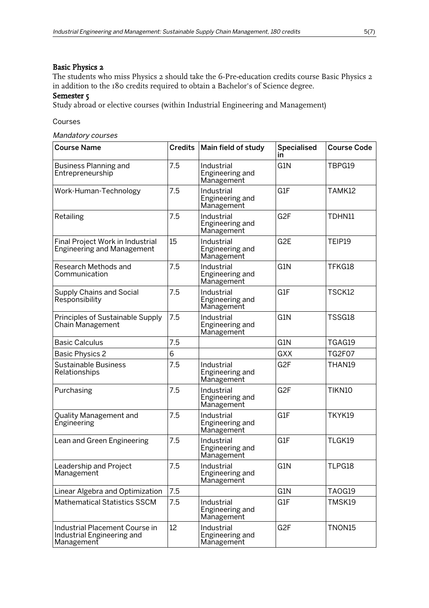#### Basic Physics 2

The students who miss Physics 2 should take the 6-Pre-education credits course Basic Physics 2 in addition to the 180 credits required to obtain a Bachelor's of Science degree.

#### Semester 5

Study abroad or elective courses (within Industrial Engineering and Management)

Courses

Mandatory courses

| <b>Course Name</b>                                                         |     | Credits   Main field of study               | <b>Specialised</b><br>in | <b>Course Code</b> |
|----------------------------------------------------------------------------|-----|---------------------------------------------|--------------------------|--------------------|
| <b>Business Planning and</b><br>Entrepreneurship                           | 7.5 | Industrial<br>Engineering and<br>Management | G1N                      | TBPG19             |
| Work-Human-Technology                                                      | 7.5 | Industrial<br>Engineering and<br>Management | G1F                      | TAMK12             |
| Retailing                                                                  | 7.5 | Industrial<br>Engineering and<br>Management | G <sub>2F</sub>          | TDHN11             |
| Final Project Work in Industrial<br><b>Engineering and Management</b>      | 15  | Industrial<br>Engineering and<br>Management | G <sub>2</sub> E         | TEIP19             |
| Research Methods and<br>Communication                                      | 7.5 | Industrial<br>Engineering and<br>Management | G1N                      | TFKG18             |
| <b>Supply Chains and Social</b><br>Responsibility                          | 7.5 | Industrial<br>Engineering and<br>Management | G1F                      | TSCK12             |
| Principles of Sustainable Supply<br>Chain Management                       | 7.5 | Industrial<br>Engineering and<br>Management | G1N                      | TSSG18             |
| <b>Basic Calculus</b>                                                      | 7.5 |                                             | G1N                      | TGAG19             |
| <b>Basic Physics 2</b>                                                     | 6   |                                             | <b>GXX</b>               | <b>TG2F07</b>      |
| <b>Sustainable Business</b><br>Relationships                               | 7.5 | Industrial<br>Engineering and<br>Management | G <sub>2F</sub>          | THAN19             |
| Purchasing                                                                 | 7.5 | Industrial<br>Engineering and<br>Management | G <sub>2F</sub>          | TIKN10             |
| Quality Management and<br>Engineering                                      | 7.5 | Industrial<br>Engineering and<br>Management | G1F                      | TKYK19             |
| Lean and Green Engineering                                                 | 7.5 | Industrial<br>Engineering and<br>Management | G1F                      | TLGK19             |
| Leadership and Project<br>Management                                       | 7.5 | Industrial<br>Engineering and<br>Management | G1N                      | TLPG18             |
| Linear Algebra and Optimization                                            | 7.5 |                                             | G1N                      | TAOG19             |
| <b>Mathematical Statistics SSCM</b>                                        | 7.5 | Industrial<br>Engineering and<br>Management | G1F                      | TMSK19             |
| Industrial Placement Course in<br>Industrial Engineering and<br>Management | 12  | Industrial<br>Engineering and<br>Management | G <sub>2F</sub>          | TNON15             |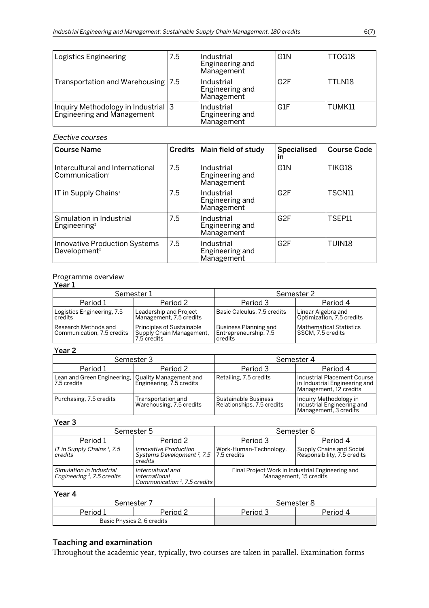| Logistics Engineering                                              | 7.5 | Industrial<br>Engineering and<br>Management | G1N             | TTOG18 |
|--------------------------------------------------------------------|-----|---------------------------------------------|-----------------|--------|
| Transportation and Warehousing   7.5                               |     | Industrial<br>Engineering and<br>Management | G <sub>2F</sub> | TTLN18 |
| Inquiry Methodology in Industrial 3<br> Engineering and Management |     | Industrial<br>Engineering and<br>Management | G1F             | TUMK11 |

#### Elective courses

| <b>Course Name</b>                                               |     | Credits   Main field of study               | <b>Specialised</b><br>ın | <b>Course Code</b> |
|------------------------------------------------------------------|-----|---------------------------------------------|--------------------------|--------------------|
| Intercultural and International<br>Communication <sup>1</sup>    | 7.5 | Industrial<br>Engineering and<br>Management | G1N                      | TIKG18             |
| IT in Supply Chains <sup>1</sup>                                 | 7.5 | Industrial<br>Engineering and<br>Management | G <sub>2F</sub>          | TSCN11             |
| Simulation in Industrial<br>Engineering <sup>T</sup>             | 7.5 | Industrial<br>Engineering and<br>Management | G <sub>2F</sub>          | TSEP11             |
| <b>Innovative Production Systems</b><br>Development <sup>1</sup> | 7.5 | Industrial<br>Engineering and<br>Management | G <sub>2F</sub>          | TUIN18             |

#### Programme overview

#### <u>Year 1</u>

| .                                                    |                                                                             |                                                             |                                                     |  |
|------------------------------------------------------|-----------------------------------------------------------------------------|-------------------------------------------------------------|-----------------------------------------------------|--|
|                                                      | Semester 1                                                                  | Semester 2                                                  |                                                     |  |
| Period 1                                             | Period 2                                                                    | Period 3                                                    | Period 4                                            |  |
| Logistics Engineering, 7.5<br>credits                | Leadership and Project<br>Management, 7.5 credits                           | l Basic Calculus. 7.5 credits                               | Linear Algebra and<br>Optimization, 7.5 credits     |  |
| l Research Methods and<br>Communication, 7.5 credits | <b>Principles of Sustainable</b><br>Supply Chain Management,<br>7.5 credits | Business Planning and<br>Entrepreneurship, 7.5<br>l credits | <b>Mathematical Statistics</b><br>SSCM. 7.5 credits |  |

#### Year 2

|                                            | Semester 3                                         | Semester 4                                         |                                                                                        |  |
|--------------------------------------------|----------------------------------------------------|----------------------------------------------------|----------------------------------------------------------------------------------------|--|
| Period 1                                   | Period 2                                           | Period 3                                           | Period 4                                                                               |  |
| Lean and Green Engineering,<br>7.5 credits | Quality Management and<br>Engineering, 7.5 credits | Retailing, 7.5 credits                             | Industrial Placement Course<br>in Industrial Engineering and<br>Management, 12 credits |  |
| Purchasing, 7.5 credits                    | Transportation and<br>Warehousing, 7.5 credits     | Sustainable Business<br>Relationships, 7.5 credits | Inquiry Methodology in<br>Industrial Engineering and<br>Management, 3 credits          |  |

#### Year 3

|                                                           | Semester 5                                                                                | Semester 6                                                                 |                                                         |  |
|-----------------------------------------------------------|-------------------------------------------------------------------------------------------|----------------------------------------------------------------------------|---------------------------------------------------------|--|
| Period 1                                                  | Period 2                                                                                  | Period 3                                                                   | Period 4                                                |  |
| IT in Supply Chains <sup>1</sup> , 7.5<br>credits         | Innovative Production<br>Systems Development $\frac{1}{2}$ , 7.5   7.5 credits<br>credits | Work-Human-Technology,                                                     | Supply Chains and Social<br>Responsibility, 7.5 credits |  |
| Simulation in Industrial<br>Engineering $I$ , 7.5 credits | Intercultural and<br>International<br>Communication <sup>1</sup> , 7.5 credits            | Final Project Work in Industrial Engineering and<br>Management, 15 credits |                                                         |  |

# Year 4

| Semester |                            | Semester ٤    |          |
|----------|----------------------------|---------------|----------|
| Period 1 | 2 Period                   | <b>Period</b> | Period 4 |
|          | Basic Physics 2, 6 credits |               |          |

# Teaching and examination

Throughout the academic year, typically, two courses are taken in parallel. Examination forms